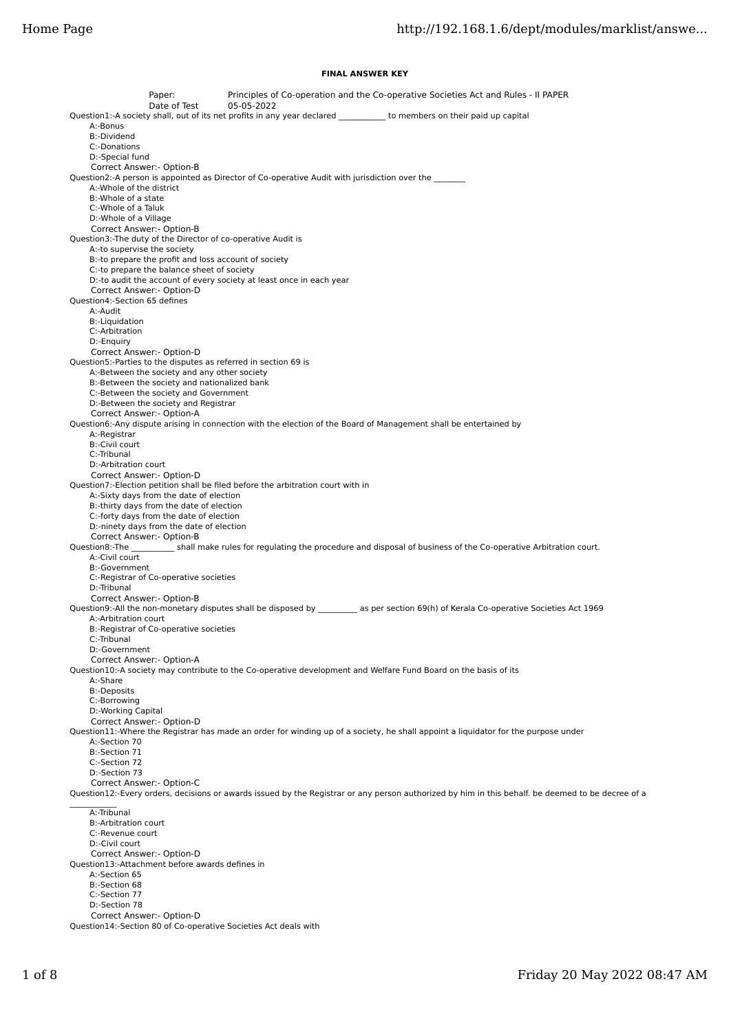## **FINAL ANSWER KEY**

Paper: Principles of Co-operation and the Co-operative Societies Act and Rules - II PAPER Date of Test 05-05-2022 Question1:-A society shall, out of its net profits in any year declared \_\_\_\_\_\_\_\_\_\_\_\_ to members on their paid up capital A:-Bonus B:-Dividend C:-Donations D:-Special fund Correct Answer:- Option-B Question2:-A person is appointed as Director of Co-operative Audit with jurisdiction over the \_ A:-Whole of the district B:-Whole of a state C:-Whole of a Taluk D:-Whole of a Village Correct Answer:- Option-B Question3:-The duty of the Director of co-operative Audit is A:-to supervise the society B:-to prepare the profit and loss account of society C:-to prepare the balance sheet of society D:-to audit the account of every society at least once in each year Correct Answer:- Option-D Question4:-Section 65 defines A:-Audit B:-Liquidation C:-Arbitration D:-Enquiry Correct Answer:- Option-D Question5:-Parties to the disputes as referred in section 69 is A:-Between the society and any other society B:-Between the society and nationalized bank C:-Between the society and Government D:-Between the society and Registrar Correct Answer:- Option-A Question6:-Any dispute arising in connection with the election of the Board of Management shall be entertained by A:-Registrar B:-Civil court C:-Tribunal D:-Arbitration court Correct Answer:- Option-D Question7:-Election petition shall be filed before the arbitration court with in A:-Sixty days from the date of election B:-thirty days from the date of election C:-forty days from the date of election D:-ninety days from the date of election Correct Answer:- Option-B<br>Question8:-The shall r shall make rules for regulating the procedure and disposal of business of the Co-operative Arbitration court. A:-Civil court B:-Government C:-Registrar of Co-operative societies D:-Tribunal Correct Answer:- Option-B Question9:-All the non-monetary disputes shall be disposed by \_\_\_\_\_\_\_\_\_\_ as per section 69(h) of Kerala Co-operative Societies Act 1969 A:-Arbitration court B:-Registrar of Co-operative societies C:-Tribunal D:-Government Correct Answer:- Option-A Question10:-A society may contribute to the Co-operative development and Welfare Fund Board on the basis of its A:-Share B:-Deposits C:-Borrowing D:-Working Capital Correct Answer:- Option-D Question11:-Where the Registrar has made an order for winding up of a society, he shall appoint a liquidator for the purpose under A:-Section 70 B:-Section 71 C:-Section 72 D:-Section 73 Correct Answer:- Option-C Question12:-Every orders, decisions or awards issued by the Registrar or any person authorized by him in this behalf. be deemed to be decree of a  $\mathcal{L}=\mathcal{L}^{\mathcal{L}}$  A:-Tribunal B:-Arbitration court C:-Revenue court D:-Civil court Correct Answer:- Option-D Question13:-Attachment before awards defines in A:-Section 65 B:-Section 68 C:-Section 77 D:-Section 78 Correct Answer:- Option-D Question14:-Section 80 of Co-operative Societies Act deals with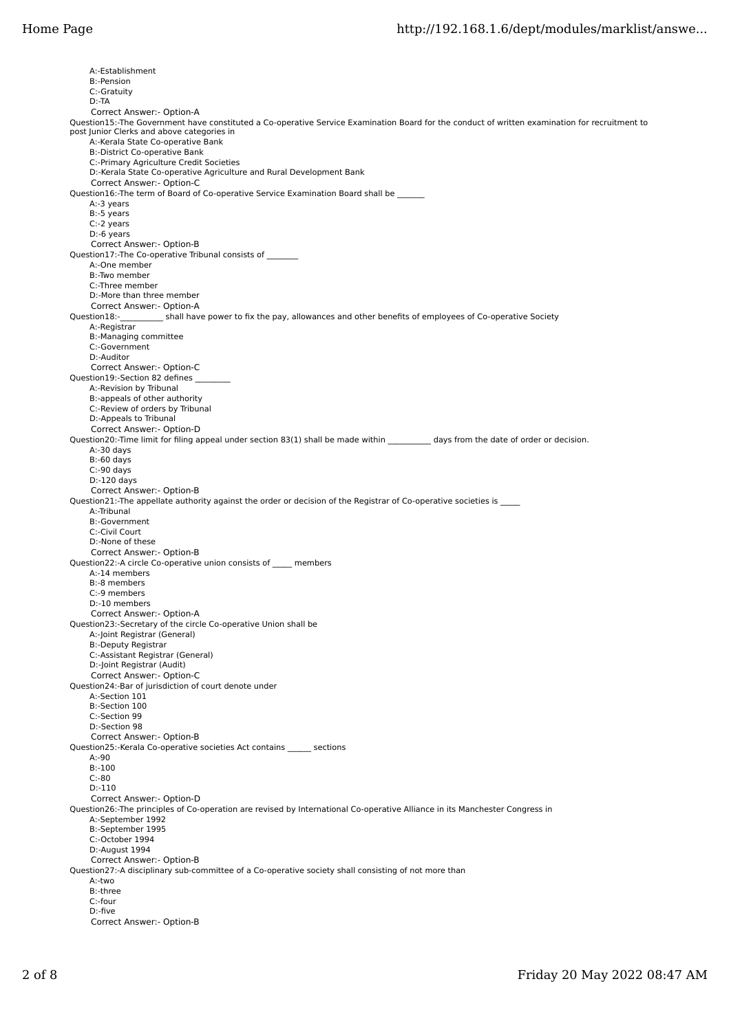A:-Establishment B:-Pension C:-Gratuity D:-TA Correct Answer:- Option-A Question15:-The Government have constituted a Co-operative Service Examination Board for the conduct of written examination for recruitment to post Junior Clerks and above categories in A:-Kerala State Co-operative Bank B:-District Co-operative Bank C:-Primary Agriculture Credit Societies D:-Kerala State Co-operative Agriculture and Rural Development Bank Correct Answer:- Option-C Question16:-The term of Board of Co-operative Service Examination Board shall be A:-3 years B:-5 years C:-2 years D:-6 years Correct Answer:- Option-B Question17:-The Co-operative Tribunal consists of \_\_\_\_\_\_\_\_ A:-One member B:-Two member C:-Three member D:-More than three member Correct Answer:- Option-A<br>Question18:-\_\_\_\_\_\_\_\_\_\_\_\_\_\_\_shall hav shall have power to fix the pay, allowances and other benefits of employees of Co-operative Society A:-Registrar B:-Managing committee C:-Government D:-Auditor Correct Answer:- Option-C Question19:-Section 82 defines A:-Revision by Tribunal B:-appeals of other authority C:-Review of orders by Tribunal D:-Appeals to Tribunal Correct Answer:- Option-D Question20:-Time limit for filing appeal under section 83(1) shall be made within \_\_\_\_\_\_\_\_\_\_\_ days from the date of order or decision. A:-30 days B:-60 days C:-90 days D:-120 days Correct Answer:- Option-B Question21:-The appellate authority against the order or decision of the Registrar of Co-operative societies is \_\_\_\_ A:-Tribunal B:-Government C:-Civil Court D:-None of these Correct Answer:- Option-B Question22:-A circle Co-operative union consists of \_\_\_\_\_ members A:-14 members B:-8 members C:-9 members D:-10 members Correct Answer:- Option-A Question23:-Secretary of the circle Co-operative Union shall be A:-Joint Registrar (General) B:-Deputy Registrar C:-Assistant Registrar (General) D:-Joint Registrar (Audit) Correct Answer:- Option-C Question24:-Bar of jurisdiction of court denote under A:-Section 101 B:-Section 100 C:-Section 99 D:-Section 98 Correct Answer:- Option-B Question25:-Kerala Co-operative societies Act contains \_\_\_\_\_\_ sections A:-90 B:-100 C:-80 D:-110 Correct Answer:- Option-D Question26:-The principles of Co-operation are revised by International Co-operative Alliance in its Manchester Congress in A:-September 1992 B:-September 1995 C:-October 1994 D:-August 1994 Correct Answer:- Option-B Question27:-A disciplinary sub-committee of a Co-operative society shall consisting of not more than A:-two B:-three C:-four D:-five Correct Answer:- Option-B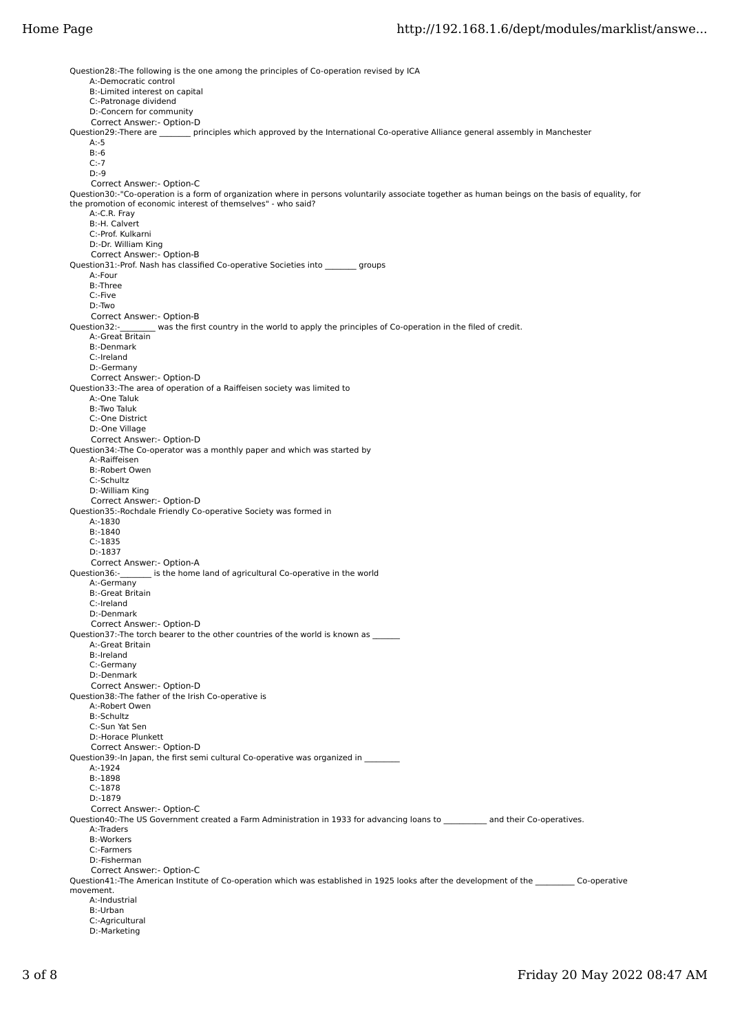Question28:-The following is the one among the principles of Co-operation revised by ICA A:-Democratic control B:-Limited interest on capital C:-Patronage dividend D:-Concern for community Correct Answer:- Option-D<br>Ouestion29:-There are pr principles which approved by the International Co-operative Alliance general assembly in Manchester  $A - 5$  B:-6 C:-7 D:-9 Correct Answer:- Option-C Question30:-"Co-operation is a form of organization where in persons voluntarily associate together as human beings on the basis of equality, for the promotion of economic interest of themselves" - who said? A:-C.R. Fray B:-H. Calvert C:-Prof. Kulkarni D:-Dr. William King Correct Answer:- Option-B Question31:-Prof. Nash has classified Co-operative Societies into \_\_\_\_\_\_\_\_\_ groups A:-Four B:-Three C:-Five D:-Two Correct Answer:- Option-B<br>Question32:-\_\_\_\_\_\_\_\_ was the fin was the first country in the world to apply the principles of Co-operation in the filed of credit. A:-Great Britain B:-Denmark C:-Ireland D:-Germany Correct Answer:- Option-D Question33:-The area of operation of a Raiffeisen society was limited to A:-One Taluk B:-Two Taluk C:-One District D:-One Village Correct Answer:- Option-D Question34:-The Co-operator was a monthly paper and which was started by A:-Raiffeisen B:-Robert Owen C:-Schultz D:-William King Correct Answer:- Option-D Question35:-Rochdale Friendly Co-operative Society was formed in A:-1830 B:-1840 C:-1835 D:-1837 Correct Answer:- Option-A Question36:-\_\_\_\_\_\_\_\_ is the home land of agricultural Co-operative in the world A:-Germany B:-Great Britain C:-Ireland D:-Denmark Correct Answer:- Option-D Question37:-The torch bearer to the other countries of the world is known as \_ A:-Great Britain B:-Ireland C:-Germany D:-Denmark Correct Answer:- Option-D Question38:-The father of the Irish Co-operative is A:-Robert Owen B:-Schultz C:-Sun Yat Sen D:-Horace Plunkett Correct Answer:- Option-D Question39:-In Japan, the first semi cultural Co-operative was organized in A:-1924 B:-1898 C:-1878 D:-1879 Correct Answer:- Option-C Question40:-The US Government created a Farm Administration in 1933 for advancing loans to \_\_\_\_\_\_\_\_\_\_ and their Co-operatives. A:-Traders B:-Workers C:-Farmers D:-Fisherman Correct Answer:- Option-C Question41:-The American Institute of Co-operation which was established in 1925 looks after the development of the Co-operative movement. A:-Industrial B:-Urban C:-Agricultural D:-Marketing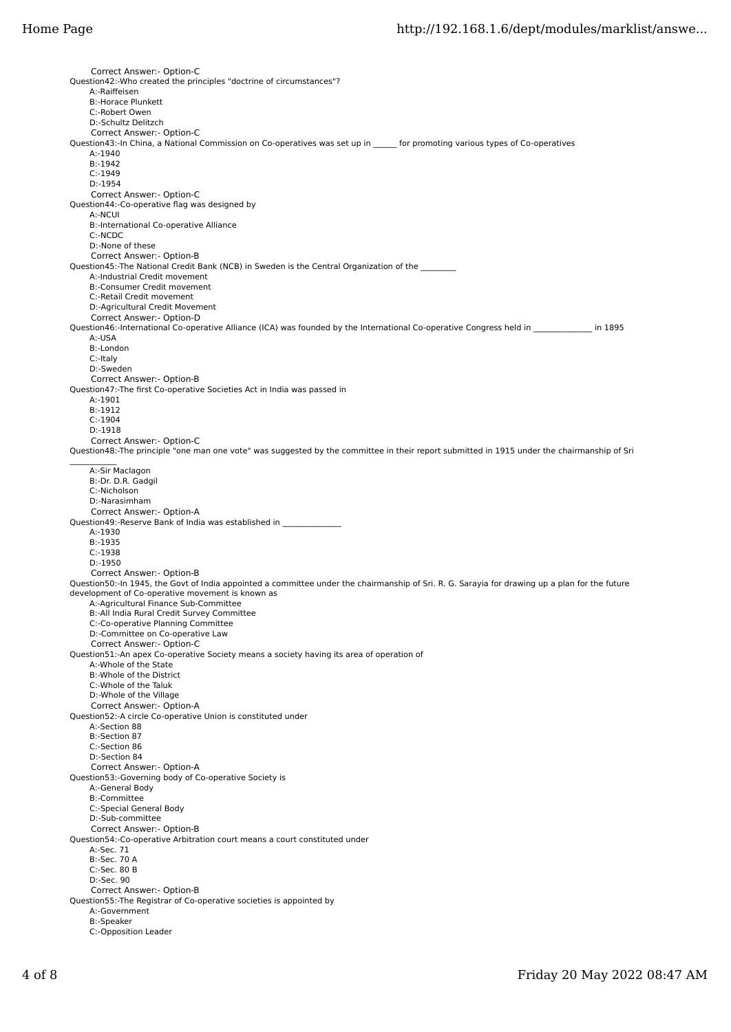Correct Answer:- Option-C Question42:-Who created the principles "doctrine of circumstances"? A:-Raiffeisen B:-Horace Plunkett C:-Robert Owen D:-Schultz Delitzch Correct Answer:- Option-C Question43:-In China, a National Commission on Co-operatives was set up in \_\_\_\_\_\_ for promoting various types of Co-operatives A:-1940 B:-1942 C:-1949 D:-1954 Correct Answer:- Option-C Question44:-Co-operative flag was designed by A:-NCUI B:-International Co-operative Alliance C:-NCDC D:-None of these Correct Answer:- Option-B Question45:-The National Credit Bank (NCB) in Sweden is the Central Organization of the A:-Industrial Credit movement B:-Consumer Credit movement C:-Retail Credit movement D:-Agricultural Credit Movement Correct Answer:- Option-D Question46:-International Co-operative Alliance (ICA) was founded by the International Co-operative Congress held in \_\_\_\_\_\_\_\_\_\_\_\_\_\_\_ in 1895 A:-USA B:-London C:-Italy D:-Sweden Correct Answer:- Option-B Question47:-The first Co-operative Societies Act in India was passed in A:-1901 B:-1912 C:-1904 D:-1918 Correct Answer:- Option-C Question48:-The principle "one man one vote" was suggested by the committee in their report submitted in 1915 under the chairmanship of Sri  $\mathcal{L}$  A:-Sir Maclagon B:-Dr. D.R. Gadgil C:-Nicholson D:-Narasimham Correct Answer:- Option-A Question49:-Reserve Bank of India was established in A:-1930 B:-1935 C:-1938 D:-1950 Correct Answer:- Option-B Question50:-In 1945, the Govt of India appointed a committee under the chairmanship of Sri. R. G. Sarayia for drawing up a plan for the future development of Co-operative movement is known as A:-Agricultural Finance Sub-Committee B:-All India Rural Credit Survey Committee C:-Co-operative Planning Committee D:-Committee on Co-operative Law Correct Answer:- Option-C Question51:-An apex Co-operative Society means a society having its area of operation of A:-Whole of the State B:-Whole of the District C:-Whole of the Taluk D:-Whole of the Village Correct Answer:- Option-A Question52:-A circle Co-operative Union is constituted under A:-Section 88 B:-Section 87 C:-Section 86 D:-Section 84 Correct Answer:- Option-A Question53:-Governing body of Co-operative Society is A:-General Body B:-Committee C:-Special General Body D:-Sub-committee Correct Answer:- Option-B Question54:-Co-operative Arbitration court means a court constituted under A:-Sec. 71 B:-Sec. 70 A C:-Sec. 80 B D:-Sec. 90 Correct Answer:- Option-B Question55:-The Registrar of Co-operative societies is appointed by A:-Government B:-Speaker C:-Opposition Leader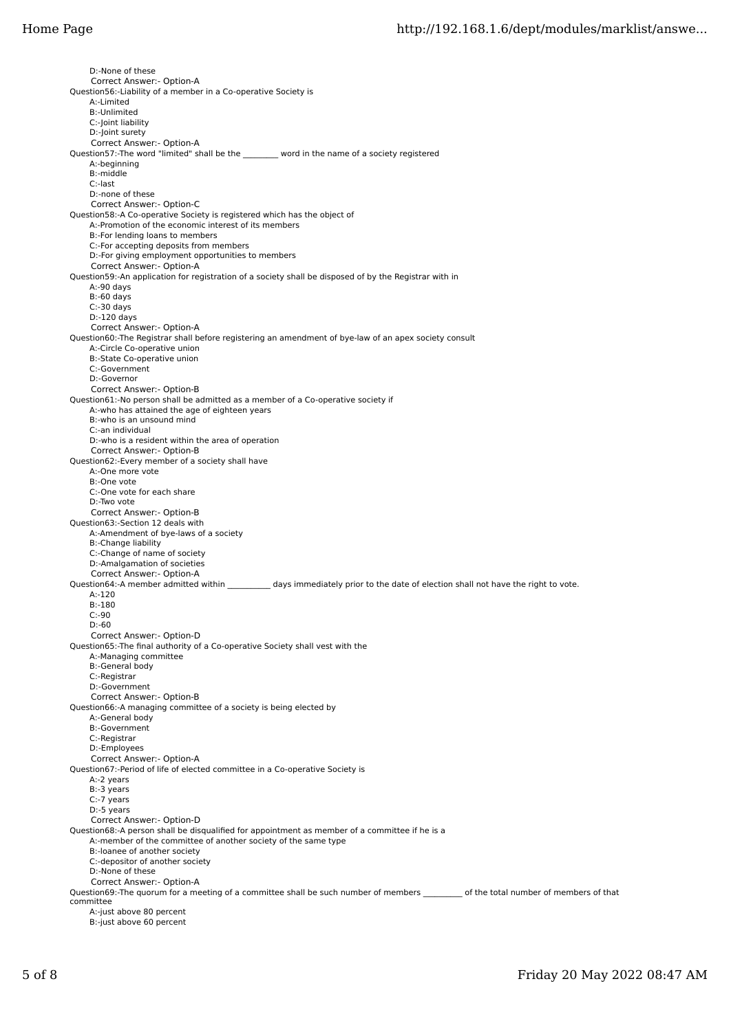D:-None of these Correct Answer:- Option-A Question56:-Liability of a member in a Co-operative Society is A:-Limited B:-Unlimited C:-Joint liability D:-Joint surety Correct Answer:- Option-A Question57:-The word "limited" shall be the \_\_\_\_\_\_\_\_\_ word in the name of a society registered A:-beginning B:-middle C:-last D:-none of these Correct Answer:- Option-C Question58:-A Co-operative Society is registered which has the object of A:-Promotion of the economic interest of its members B:-For lending loans to members C:-For accepting deposits from members D:-For giving employment opportunities to members Correct Answer:- Option-A Question59:-An application for registration of a society shall be disposed of by the Registrar with in A:-90 days  $B:$ -60 days C:-30 days D:-120 days Correct Answer:- Option-A Question60:-The Registrar shall before registering an amendment of bye-law of an apex society consult A:-Circle Co-operative union B:-State Co-operative union C:-Government D:-Governor Correct Answer:- Option-B Question61:-No person shall be admitted as a member of a Co-operative society if A:-who has attained the age of eighteen years B:-who is an unsound mind C:-an individual D:-who is a resident within the area of operation Correct Answer:- Option-B Question62:-Every member of a society shall have A:-One more vote B:-One vote C:-One vote for each share D:-Two vote Correct Answer:- Option-B Question63:-Section 12 deals with A:-Amendment of bye-laws of a society B:-Change liability C:-Change of name of society D:-Amalgamation of societies Correct Answer:- Option-A Question64:-A member admitted within \_\_\_\_\_\_\_\_\_\_\_ days immediately prior to the date of election shall not have the right to vote. A:-120 B:-180 C:-90 D:-60 Correct Answer:- Option-D Question65:-The final authority of a Co-operative Society shall vest with the A:-Managing committee B:-General body C:-Registrar D:-Government Correct Answer:- Option-B Question66:-A managing committee of a society is being elected by A:-General body B:-Government C:-Registrar D:-Employees Correct Answer:- Option-A Question67:-Period of life of elected committee in a Co-operative Society is A:-2 years B:-3 years C:-7 years D:-5 years Correct Answer:- Option-D Question68:-A person shall be disqualified for appointment as member of a committee if he is a A:-member of the committee of another society of the same type B:-loanee of another society C:-depositor of another society D:-None of these Correct Answer:- Option-A Question69:-The quorum for a meeting of a committee shall be such number of members \_\_\_\_\_\_\_\_\_\_ of the total number of members of that committee A:-just above 80 percent B:-just above 60 percent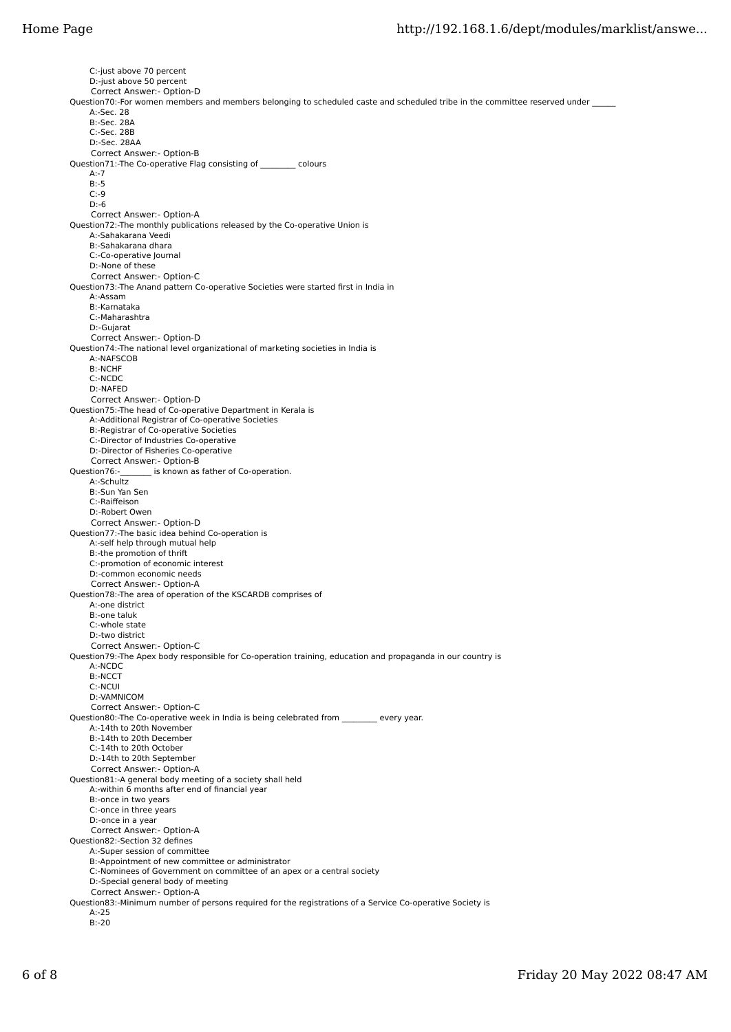C:-just above 70 percent D:-just above 50 percent Correct Answer:- Option-D Question70:-For women members and members belonging to scheduled caste and scheduled tribe in the committee reserved under A:-Sec. 28 B:-Sec. 28A C:-Sec. 28B D:-Sec. 28AA Correct Answer:- Option-B Question71:-The Co-operative Flag consisting of \_\_\_\_\_\_\_\_\_ colours  $\Delta - 7$  B:-5  $C:9$  D:-6 Correct Answer:- Option-A Question72:-The monthly publications released by the Co-operative Union is A:-Sahakarana Veedi B:-Sahakarana dhara C:-Co-operative Journal D:-None of these Correct Answer:- Option-C Question73:-The Anand pattern Co-operative Societies were started first in India in A:-Assam B:-Karnataka C:-Maharashtra D:-Gujarat Correct Answer:- Option-D Question74:-The national level organizational of marketing societies in India is A:-NAFSCOB B:-NCHF C:-NCDC D:-NAFED Correct Answer:- Option-D Question75:-The head of Co-operative Department in Kerala is A:-Additional Registrar of Co-operative Societies B:-Registrar of Co-operative Societies C:-Director of Industries Co-operative D:-Director of Fisheries Co-operative Correct Answer:- Option-B<br>Question76:- is known as is known as father of Co-operation. A:-Schultz B:-Sun Yan Sen C:-Raiffeison D:-Robert Owen Correct Answer:- Option-D Question77:-The basic idea behind Co-operation is A:-self help through mutual help B:-the promotion of thrift C:-promotion of economic interest D:-common economic needs Correct Answer:- Option-A Question78:-The area of operation of the KSCARDB comprises of A:-one district B:-one taluk C:-whole state D:-two district Correct Answer:- Option-C Question79:-The Apex body responsible for Co-operation training, education and propaganda in our country is A:-NCDC B:-NCCT C:-NCUI D:-VAMNICOM Correct Answer:- Option-C Question80:-The Co-operative week in India is being celebrated from \_\_\_\_\_\_\_ every year. A:-14th to 20th November B:-14th to 20th December C:-14th to 20th October D:-14th to 20th September Correct Answer:- Option-A Question81:-A general body meeting of a society shall held A:-within 6 months after end of financial year B:-once in two years C:-once in three years D:-once in a year Correct Answer:- Option-A Question82:-Section 32 defines A:-Super session of committee B:-Appointment of new committee or administrator C:-Nominees of Government on committee of an apex or a central society D:-Special general body of meeting Correct Answer:- Option-A Question83:-Minimum number of persons required for the registrations of a Service Co-operative Society is A:-25 B:-20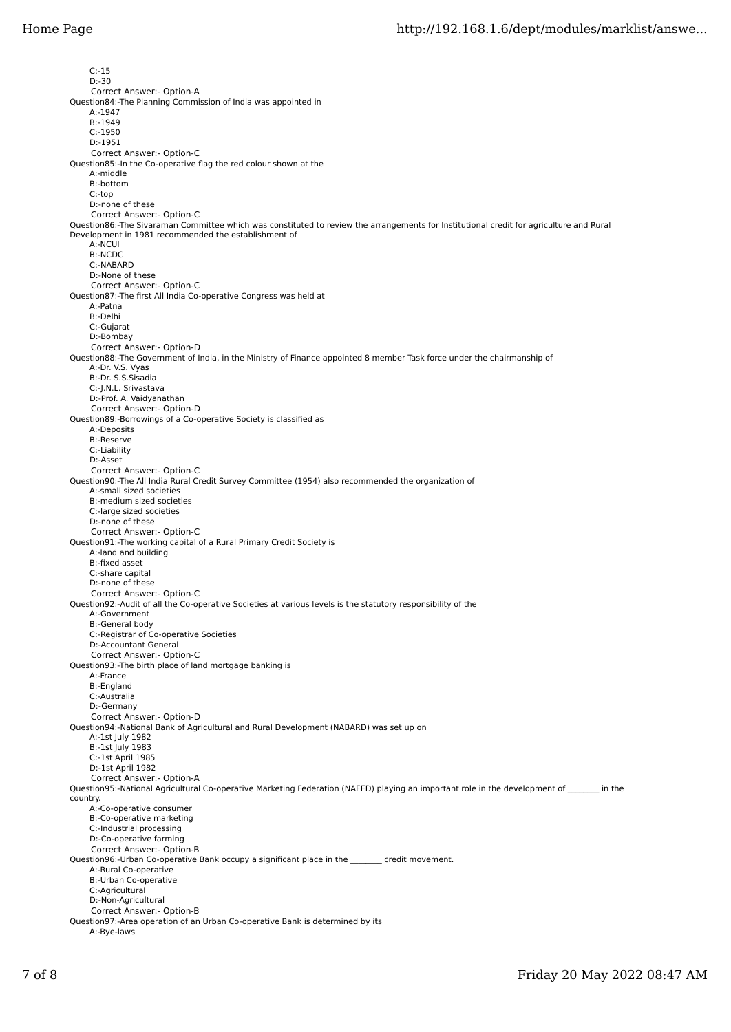C:-15 D:-30 Correct Answer:- Option-A Question84:-The Planning Commission of India was appointed in A:-1947 B:-1949  $C:1950$  D:-1951 Correct Answer:- Option-C Question85:-In the Co-operative flag the red colour shown at the A:-middle B:-bottom C:-top D:-none of these Correct Answer:- Option-C Question86:-The Sivaraman Committee which was constituted to review the arrangements for Institutional credit for agriculture and Rural Development in 1981 recommended the establishment of A:-NCUI B:-NCDC C:-NABARD D:-None of these Correct Answer:- Option-C Question87:-The first All India Co-operative Congress was held at A:-Patna B:-Delhi C:-Gujarat D:-Bombay Correct Answer:- Option-D Question88:-The Government of India, in the Ministry of Finance appointed 8 member Task force under the chairmanship of A:-Dr. V.S. Vyas B:-Dr. S.S.Sisadia C:-J.N.L. Srivastava D:-Prof. A. Vaidyanathan Correct Answer:- Option-D Question89:-Borrowings of a Co-operative Society is classified as A:-Deposits B:-Reserve C:-Liability D:-Asset Correct Answer:- Option-C Question90:-The All India Rural Credit Survey Committee (1954) also recommended the organization of A:-small sized societies B:-medium sized societies C:-large sized societies D:-none of these Correct Answer:- Option-C Question91:-The working capital of a Rural Primary Credit Society is A:-land and building B:-fixed asset C:-share capital D:-none of these Correct Answer:- Option-C Question92:-Audit of all the Co-operative Societies at various levels is the statutory responsibility of the A:-Government B:-General body C:-Registrar of Co-operative Societies D:-Accountant General Correct Answer:- Option-C Question93:-The birth place of land mortgage banking is A:-France B:-England C:-Australia D:-Germany Correct Answer:- Option-D Question94:-National Bank of Agricultural and Rural Development (NABARD) was set up on A:-1st July 1982 B:-1st July 1983 C:-1st April 1985 D:-1st April 1982 Correct Answer:- Option-A Question95:-National Agricultural Co-operative Marketing Federation (NAFED) playing an important role in the development of \_\_\_\_\_\_\_\_ in the country. A:-Co-operative consumer B:-Co-operative marketing C:-Industrial processing D:-Co-operative farming Correct Answer:- Option-B Question96:-Urban Co-operative Bank occupy a significant place in the \_\_\_\_\_\_\_\_ credit movement. A:-Rural Co-operative B:-Urban Co-operative C:-Agricultural D:-Non-Agricultural Correct Answer:- Option-B Question97:-Area operation of an Urban Co-operative Bank is determined by its A:-Bye-laws